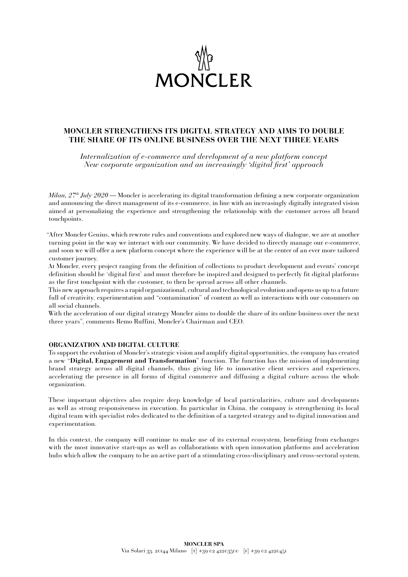

## **MONCLER STRENGTHENS ITS DIGITAL STRATEGY AND AIMS TO DOUBLE THE SHARE OF ITS ONLINE BUSINESS OVER THE NEXT THREE YEARS**

*Internalization of e-commerce and development of a new platform concept New corporate organization and an increasingly 'digital first' approach*

*Milan, 27th July 2020* — Moncler is accelerating its digital transformation defining a new corporate organization and announcing the direct management of its e-commerce, in line with an increasingly digitally integrated vision aimed at personalizing the experience and strengthening the relationship with the customer across all brand touchpoints.

"After Moncler Genius, which rewrote rules and conventions and explored new ways of dialogue, we are at another turning point in the way we interact with our community. We have decided to directly manage our e-commerce, and soon we will offer a new platform concept where the experience will be at the center of an ever more tailored customer journey.

At Moncler, every project ranging from the definition of collections to product development and events' concept definition should be 'digital first' and must therefore be inspired and designed to perfectly fit digital platforms as the first touchpoint with the customer, to then be spread across all other channels.

This new approach requires a rapid organizational, cultural and technological evolution and opens us up to a future full of creativity, experimentation and "contamination" of content as well as interactions with our consumers on all social channels.

With the acceleration of our digital strategy Moncler aims to double the share of its online business over the next three years", comments Remo Ruffini, Moncler's Chairman and CEO.

## **ORGANIZATION AND DIGITAL CULTURE**

To support the evolution of Moncler's strategic vision and amplify digital opportunities, the company has created a new "**Digital, Engagement and Transformation**" function. The function has the mission of implementing brand strategy across all digital channels, thus giving life to innovative client services and experiences, accelerating the presence in all forms of digital commerce and diffusing a digital culture across the whole organization.

These important objectives also require deep knowledge of local particularities, culture and developments as well as strong responsiveness in execution. In particular in China, the company is strengthening its local digital team with specialist roles dedicated to the definition of a targeted strategy and to digital innovation and experimentation.

In this context, the company will continue to make use of its external ecosystem, benefiting from exchanges with the most innovative start-ups as well as collaborations with open innovation platforms and acceleration hubs which allow the company to be an active part of a stimulating cross-disciplinary and cross-sectoral system.